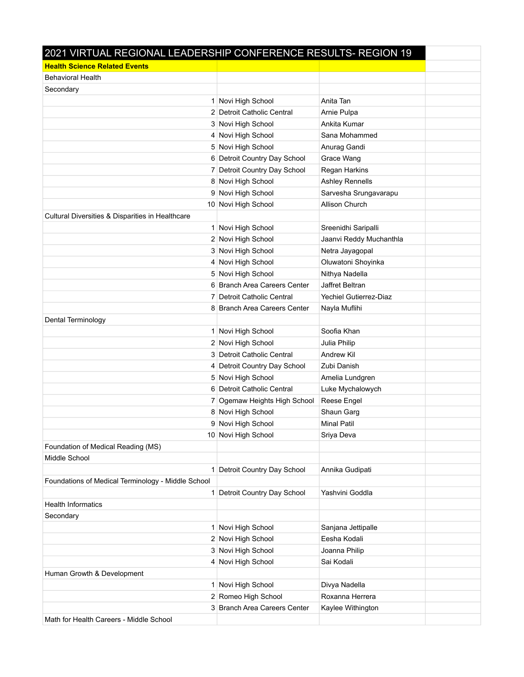| 2021 VIRTUAL REGIONAL LEADERSHIP CONFERENCE RESULTS- REGION 19 |                              |                               |  |
|----------------------------------------------------------------|------------------------------|-------------------------------|--|
| <b>Health Science Related Events</b>                           |                              |                               |  |
| <b>Behavioral Health</b>                                       |                              |                               |  |
| Secondary                                                      |                              |                               |  |
|                                                                | 1 Novi High School           | Anita Tan                     |  |
|                                                                | 2 Detroit Catholic Central   | Arnie Pulpa                   |  |
|                                                                | 3 Novi High School           | Ankita Kumar                  |  |
|                                                                | 4 Novi High School           | Sana Mohammed                 |  |
|                                                                | 5 Novi High School           | Anurag Gandi                  |  |
|                                                                | 6 Detroit Country Day School | Grace Wang                    |  |
|                                                                | 7 Detroit Country Day School | Regan Harkins                 |  |
|                                                                | 8 Novi High School           | Ashley Rennells               |  |
|                                                                | 9 Novi High School           | Sarvesha Srungavarapu         |  |
|                                                                | 10 Novi High School          | Allison Church                |  |
| Cultural Diversities & Disparities in Healthcare               |                              |                               |  |
|                                                                | 1 Novi High School           | Sreenidhi Saripalli           |  |
|                                                                | 2 Novi High School           | Jaanvi Reddy Muchanthla       |  |
|                                                                | 3 Novi High School           | Netra Jayagopal               |  |
|                                                                | 4 Novi High School           | Oluwatoni Shoyinka            |  |
|                                                                | 5 Novi High School           | Nithya Nadella                |  |
|                                                                | 6 Branch Area Careers Center | Jaffret Beltran               |  |
|                                                                | 7 Detroit Catholic Central   | <b>Yechiel Gutierrez-Diaz</b> |  |
|                                                                | 8 Branch Area Careers Center | Nayla Muflihi                 |  |
| Dental Terminology                                             |                              |                               |  |
|                                                                | 1 Novi High School           | Soofia Khan                   |  |
|                                                                | 2 Novi High School           | Julia Philip                  |  |
|                                                                | 3 Detroit Catholic Central   | Andrew Kil                    |  |
|                                                                | 4 Detroit Country Day School | Zubi Danish                   |  |
|                                                                | 5 Novi High School           | Amelia Lundgren               |  |
|                                                                | 6 Detroit Catholic Central   | Luke Mychalowych              |  |
|                                                                | 7 Ogemaw Heights High School | Reese Engel                   |  |
|                                                                | 8 Novi High School           | Shaun Garg                    |  |
|                                                                | 9 Novi High School           | <b>Minal Patil</b>            |  |
|                                                                | 10 Novi High School          | Sriya Deva                    |  |
| Foundation of Medical Reading (MS)                             |                              |                               |  |
| Middle School                                                  |                              |                               |  |
|                                                                | 1 Detroit Country Day School | Annika Gudipati               |  |
| Foundations of Medical Terminology - Middle School             |                              |                               |  |
|                                                                | 1 Detroit Country Day School | Yashvini Goddla               |  |
| <b>Health Informatics</b>                                      |                              |                               |  |
| Secondary                                                      |                              |                               |  |
|                                                                | 1 Novi High School           | Sanjana Jettipalle            |  |
|                                                                | 2 Novi High School           | Eesha Kodali                  |  |
|                                                                | 3 Novi High School           | Joanna Philip                 |  |
|                                                                | 4 Novi High School           | Sai Kodali                    |  |
| Human Growth & Development                                     |                              |                               |  |
|                                                                | 1 Novi High School           | Divya Nadella                 |  |
|                                                                | 2 Romeo High School          | Roxanna Herrera               |  |
|                                                                | 3 Branch Area Careers Center | Kaylee Withington             |  |
| Math for Health Careers - Middle School                        |                              |                               |  |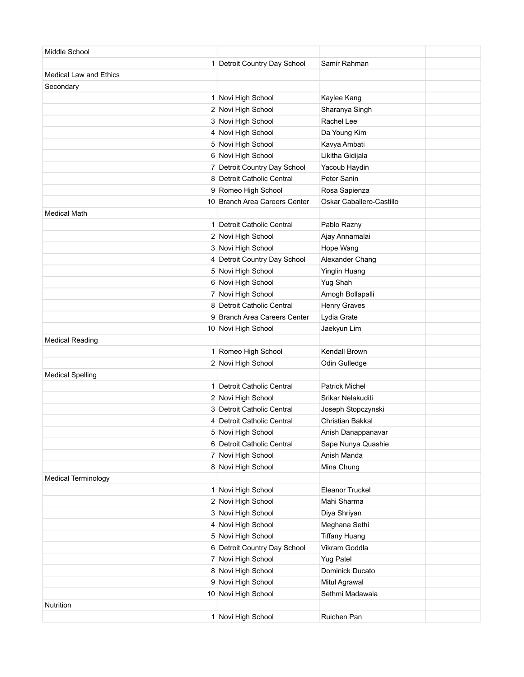| Middle School                 |                                          |                                       |  |
|-------------------------------|------------------------------------------|---------------------------------------|--|
|                               | 1 Detroit Country Day School             | Samir Rahman                          |  |
| <b>Medical Law and Ethics</b> |                                          |                                       |  |
| Secondary                     |                                          |                                       |  |
|                               | 1 Novi High School                       | Kaylee Kang                           |  |
|                               | 2 Novi High School                       | Sharanya Singh                        |  |
|                               | 3 Novi High School                       | Rachel Lee                            |  |
|                               | 4 Novi High School                       | Da Young Kim                          |  |
|                               | 5 Novi High School                       | Kavya Ambati                          |  |
|                               | 6 Novi High School                       | Likitha Gidijala                      |  |
|                               | 7 Detroit Country Day School             | Yacoub Haydin                         |  |
|                               | 8 Detroit Catholic Central               | Peter Sanin                           |  |
|                               | 9 Romeo High School                      | Rosa Sapienza                         |  |
|                               | 10 Branch Area Careers Center            | Oskar Caballero-Castillo              |  |
| <b>Medical Math</b>           |                                          |                                       |  |
|                               | 1 Detroit Catholic Central               | Pablo Razny                           |  |
|                               | 2 Novi High School                       | Ajay Annamalai                        |  |
|                               | 3 Novi High School                       | Hope Wang                             |  |
|                               | 4 Detroit Country Day School             | Alexander Chang                       |  |
|                               | 5 Novi High School                       | Yinglin Huang                         |  |
|                               | 6 Novi High School                       | Yug Shah                              |  |
|                               | 7 Novi High School                       | Amogh Bollapalli                      |  |
|                               | 8 Detroit Catholic Central               | <b>Henry Graves</b>                   |  |
|                               | 9 Branch Area Careers Center             | Lydia Grate                           |  |
|                               | 10 Novi High School                      | Jaekyun Lim                           |  |
| <b>Medical Reading</b>        |                                          |                                       |  |
|                               | 1 Romeo High School                      | Kendall Brown                         |  |
|                               | 2 Novi High School                       | Odin Gulledge                         |  |
| <b>Medical Spelling</b>       |                                          |                                       |  |
|                               | 1 Detroit Catholic Central               | <b>Patrick Michel</b>                 |  |
|                               | 2 Novi High School                       | Srikar Nelakuditi                     |  |
|                               | 3 Detroit Catholic Central               | Joseph Stopczynski                    |  |
|                               | 4 Detroit Catholic Central               | <b>Christian Bakkal</b>               |  |
|                               | 5 Novi High School                       | Anish Danappanavar                    |  |
|                               | 6 Detroit Catholic Central               | Sape Nunya Quashie                    |  |
|                               | 7 Novi High School                       | Anish Manda                           |  |
|                               | 8 Novi High School                       | Mina Chung                            |  |
| <b>Medical Terminology</b>    |                                          | <b>Eleanor Truckel</b>                |  |
|                               | 1 Novi High School<br>2 Novi High School | Mahi Sharma                           |  |
|                               |                                          |                                       |  |
|                               | 3 Novi High School<br>4 Novi High School | Diya Shriyan                          |  |
|                               | 5 Novi High School                       | Meghana Sethi<br><b>Tiffany Huang</b> |  |
|                               | 6 Detroit Country Day School             | Vikram Goddla                         |  |
|                               | 7 Novi High School                       | Yug Patel                             |  |
|                               | 8 Novi High School                       | Dominick Ducato                       |  |
|                               | 9 Novi High School                       | Mitul Agrawal                         |  |
|                               | 10 Novi High School                      | Sethmi Madawala                       |  |
| Nutrition                     |                                          |                                       |  |
|                               | 1 Novi High School                       | Ruichen Pan                           |  |
|                               |                                          |                                       |  |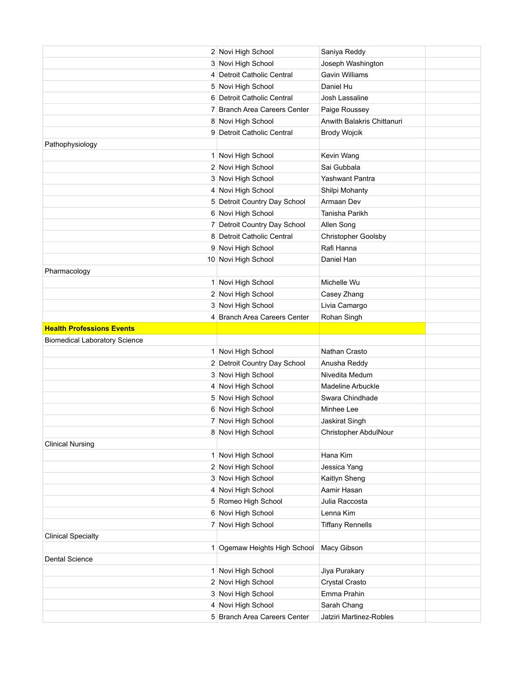|                                      | 2 Novi High School           | Saniya Reddy               |  |
|--------------------------------------|------------------------------|----------------------------|--|
|                                      | 3 Novi High School           | Joseph Washington          |  |
|                                      | 4 Detroit Catholic Central   | Gavin Williams             |  |
|                                      | 5 Novi High School           | Daniel Hu                  |  |
|                                      | 6 Detroit Catholic Central   | Josh Lassaline             |  |
|                                      | 7 Branch Area Careers Center | Paige Roussey              |  |
|                                      | 8 Novi High School           | Anwith Balakris Chittanuri |  |
|                                      | 9 Detroit Catholic Central   | <b>Brody Wojcik</b>        |  |
| Pathophysiology                      |                              |                            |  |
|                                      | 1 Novi High School           | Kevin Wang                 |  |
|                                      | 2 Novi High School           | Sai Gubbala                |  |
|                                      | 3 Novi High School           | Yashwant Pantra            |  |
|                                      | 4 Novi High School           | Shilpi Mohanty             |  |
|                                      | 5 Detroit Country Day School | Armaan Dev                 |  |
|                                      | 6 Novi High School           | Tanisha Parikh             |  |
|                                      | 7 Detroit Country Day School | Allen Song                 |  |
|                                      | 8 Detroit Catholic Central   | Christopher Goolsby        |  |
|                                      | 9 Novi High School           | Rafi Hanna                 |  |
|                                      | 10 Novi High School          | Daniel Han                 |  |
| Pharmacology                         |                              |                            |  |
|                                      | 1 Novi High School           | Michelle Wu                |  |
|                                      | 2 Novi High School           | Casey Zhang                |  |
|                                      | 3 Novi High School           | Livia Camargo              |  |
|                                      | 4 Branch Area Careers Center | Rohan Singh                |  |
| <b>Health Professions Events</b>     |                              |                            |  |
| <b>Biomedical Laboratory Science</b> |                              |                            |  |
|                                      | 1 Novi High School           | Nathan Crasto              |  |
|                                      | 2 Detroit Country Day School | Anusha Reddy               |  |
|                                      | 3 Novi High School           | Nivedita Medum             |  |
|                                      | 4 Novi High School           | <b>Madeline Arbuckle</b>   |  |
|                                      | 5 Novi High School           | Swara Chindhade            |  |
|                                      | 6 Novi High School           | Minhee Lee                 |  |
|                                      | 7 Novi High School           | Jaskirat Singh             |  |
|                                      | 8 Novi High School           | Christopher AbdulNour      |  |
| <b>Clinical Nursing</b>              |                              |                            |  |
|                                      | 1 Novi High School           | Hana Kim                   |  |
|                                      | 2 Novi High School           | Jessica Yang               |  |
|                                      | 3 Novi High School           | Kaitlyn Sheng              |  |
|                                      | 4 Novi High School           | Aamir Hasan                |  |
|                                      | 5 Romeo High School          | Julia Raccosta             |  |
|                                      | 6 Novi High School           | Lenna Kim                  |  |
|                                      | 7 Novi High School           | <b>Tiffany Rennells</b>    |  |
| <b>Clinical Specialty</b>            |                              |                            |  |
|                                      | 1 Ogemaw Heights High School | Macy Gibson                |  |
| Dental Science                       |                              |                            |  |
|                                      | 1 Novi High School           | Jiya Purakary              |  |
|                                      | 2 Novi High School           | Crystal Crasto             |  |
|                                      | 3 Novi High School           | Emma Prahin                |  |
|                                      | 4 Novi High School           | Sarah Chang                |  |
|                                      | 5 Branch Area Careers Center | Jatziri Martinez-Robles    |  |
|                                      |                              |                            |  |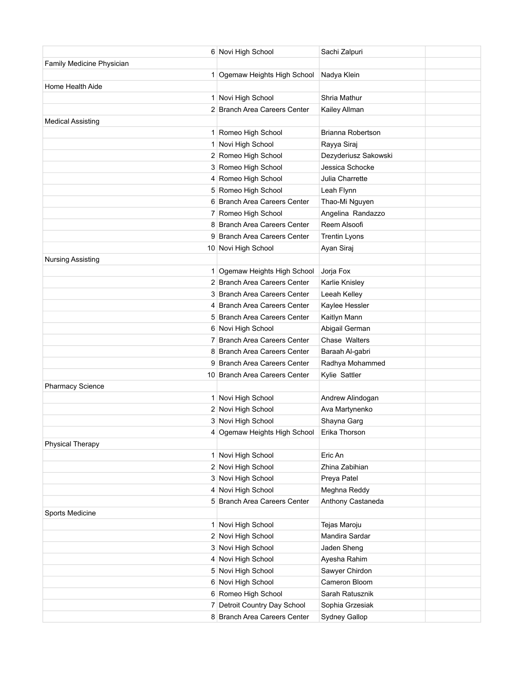|                           | 6 Novi High School                       | Sachi Zalpuri               |  |
|---------------------------|------------------------------------------|-----------------------------|--|
| Family Medicine Physician |                                          |                             |  |
|                           | 1 Ogemaw Heights High School             | Nadya Klein                 |  |
| Home Health Aide          |                                          |                             |  |
|                           | 1 Novi High School                       | Shria Mathur                |  |
|                           | 2 Branch Area Careers Center             | Kailey Allman               |  |
| <b>Medical Assisting</b>  |                                          |                             |  |
|                           | 1 Romeo High School                      | Brianna Robertson           |  |
|                           | 1 Novi High School                       | Rayya Siraj                 |  |
|                           | 2 Romeo High School                      | Dezyderiusz Sakowski        |  |
|                           | 3 Romeo High School                      | Jessica Schocke             |  |
|                           | 4 Romeo High School                      | Julia Charrette             |  |
|                           | 5 Romeo High School                      | Leah Flynn                  |  |
|                           | 6 Branch Area Careers Center             | Thao-Mi Nguyen              |  |
|                           | 7 Romeo High School                      | Angelina Randazzo           |  |
|                           | 8 Branch Area Careers Center             | Reem Alsoofi                |  |
|                           | 9 Branch Area Careers Center             | <b>Trentin Lyons</b>        |  |
|                           | 10 Novi High School                      | Ayan Siraj                  |  |
| <b>Nursing Assisting</b>  |                                          |                             |  |
|                           | 1 Ogemaw Heights High School             | Jorja Fox                   |  |
|                           | 2 Branch Area Careers Center             | Karlie Knisley              |  |
|                           | 3 Branch Area Careers Center             | Leeah Kelley                |  |
|                           | 4 Branch Area Careers Center             | Kaylee Hessler              |  |
|                           | 5 Branch Area Careers Center             | Kaitlyn Mann                |  |
|                           | 6 Novi High School                       | Abigail German              |  |
|                           | 7 Branch Area Careers Center             | Chase Walters               |  |
|                           | 8 Branch Area Careers Center             | Baraah Al-gabri             |  |
|                           | 9 Branch Area Careers Center             | Radhya Mohammed             |  |
|                           | 10 Branch Area Careers Center            | Kylie Sattler               |  |
| <b>Pharmacy Science</b>   |                                          |                             |  |
|                           | 1 Novi High School                       | Andrew Alindogan            |  |
|                           | 2 Novi High School                       | Ava Martynenko              |  |
|                           | 3 Novi High School                       | Shayna Garg                 |  |
|                           | 4 Ogemaw Heights High School             | Erika Thorson               |  |
| <b>Physical Therapy</b>   |                                          |                             |  |
|                           | 1 Novi High School                       | Eric An                     |  |
|                           | 2 Novi High School<br>3 Novi High School | Zhina Zabihian              |  |
|                           | 4 Novi High School                       | Preya Patel<br>Meghna Reddy |  |
|                           | 5 Branch Area Careers Center             | Anthony Castaneda           |  |
| Sports Medicine           |                                          |                             |  |
|                           | 1 Novi High School                       | Tejas Maroju                |  |
|                           | 2 Novi High School                       | Mandira Sardar              |  |
|                           | 3 Novi High School                       | Jaden Sheng                 |  |
|                           | 4 Novi High School                       | Ayesha Rahim                |  |
|                           | 5 Novi High School                       | Sawyer Chirdon              |  |
|                           | 6 Novi High School                       | Cameron Bloom               |  |
|                           | 6 Romeo High School                      | Sarah Ratusznik             |  |
|                           | 7 Detroit Country Day School             | Sophia Grzesiak             |  |
|                           | 8 Branch Area Careers Center             | Sydney Gallop               |  |
|                           |                                          |                             |  |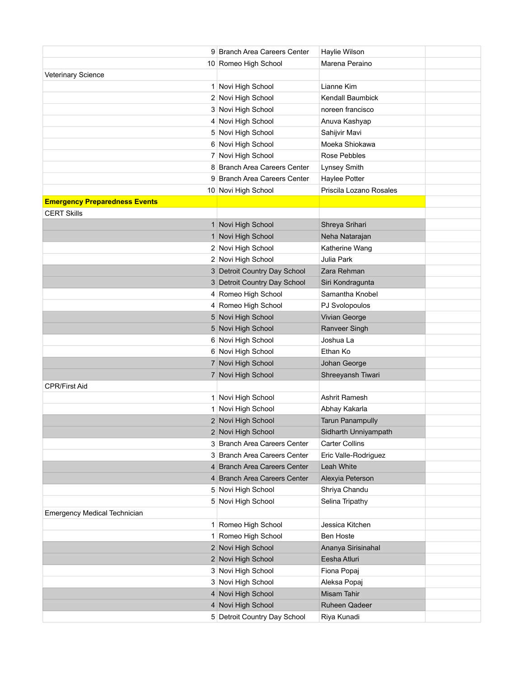|                                      | 9 Branch Area Careers Center | Haylie Wilson           |  |
|--------------------------------------|------------------------------|-------------------------|--|
|                                      | 10 Romeo High School         | Marena Peraino          |  |
| Veterinary Science                   |                              |                         |  |
|                                      | 1 Novi High School           | Lianne Kim              |  |
|                                      | 2 Novi High School           | <b>Kendall Baumbick</b> |  |
|                                      | 3 Novi High School           | noreen francisco        |  |
|                                      | 4 Novi High School           | Anuva Kashyap           |  |
|                                      | 5 Novi High School           | Sahijvir Mavi           |  |
|                                      | 6 Novi High School           | Moeka Shiokawa          |  |
|                                      | 7 Novi High School           | <b>Rose Pebbles</b>     |  |
|                                      | 8 Branch Area Careers Center | Lynsey Smith            |  |
|                                      | 9 Branch Area Careers Center | Haylee Potter           |  |
|                                      | 10 Novi High School          | Priscila Lozano Rosales |  |
| <b>Emergency Preparedness Events</b> |                              |                         |  |
| <b>CERT Skills</b>                   |                              |                         |  |
|                                      | 1 Novi High School           | Shreya Srihari          |  |
|                                      | 1 Novi High School           | Neha Natarajan          |  |
|                                      | 2 Novi High School           | Katherine Wang          |  |
|                                      | 2 Novi High School           | Julia Park              |  |
|                                      | 3 Detroit Country Day School | Zara Rehman             |  |
|                                      | 3 Detroit Country Day School | Siri Kondragunta        |  |
|                                      | 4 Romeo High School          | Samantha Knobel         |  |
|                                      | 4 Romeo High School          | PJ Svolopoulos          |  |
|                                      | 5 Novi High School           | Vivian George           |  |
|                                      | 5 Novi High School           | Ranveer Singh           |  |
|                                      | 6 Novi High School           | Joshua La               |  |
|                                      | 6 Novi High School           | Ethan Ko                |  |
|                                      | 7 Novi High School           | Johan George            |  |
|                                      | 7 Novi High School           | Shreeyansh Tiwari       |  |
| <b>CPR/First Aid</b>                 |                              |                         |  |
|                                      | 1 Novi High School           | Ashrit Ramesh           |  |
|                                      | 1 Novi High School           | Abhay Kakarla           |  |
|                                      | 2 Novi High School           | <b>Tarun Panampully</b> |  |
|                                      | 2 Novi High School           | Sidharth Unniyampath    |  |
|                                      | 3 Branch Area Careers Center | <b>Carter Collins</b>   |  |
|                                      | 3 Branch Area Careers Center | Eric Valle-Rodriguez    |  |
|                                      | 4 Branch Area Careers Center | Leah White              |  |
|                                      | 4 Branch Area Careers Center | Alexyia Peterson        |  |
|                                      | 5 Novi High School           | Shriya Chandu           |  |
|                                      | 5 Novi High School           | Selina Tripathy         |  |
| <b>Emergency Medical Technician</b>  |                              |                         |  |
|                                      | 1 Romeo High School          | Jessica Kitchen         |  |
|                                      | 1 Romeo High School          | <b>Ben Hoste</b>        |  |
|                                      | 2 Novi High School           | Ananya Sirisinahal      |  |
|                                      | 2 Novi High School           | Eesha Atluri            |  |
|                                      | 3 Novi High School           | Fiona Popaj             |  |
|                                      | 3 Novi High School           | Aleksa Popaj            |  |
|                                      | 4 Novi High School           | Misam Tahir             |  |
|                                      | 4 Novi High School           | <b>Ruheen Qadeer</b>    |  |
|                                      | 5 Detroit Country Day School | Riya Kunadi             |  |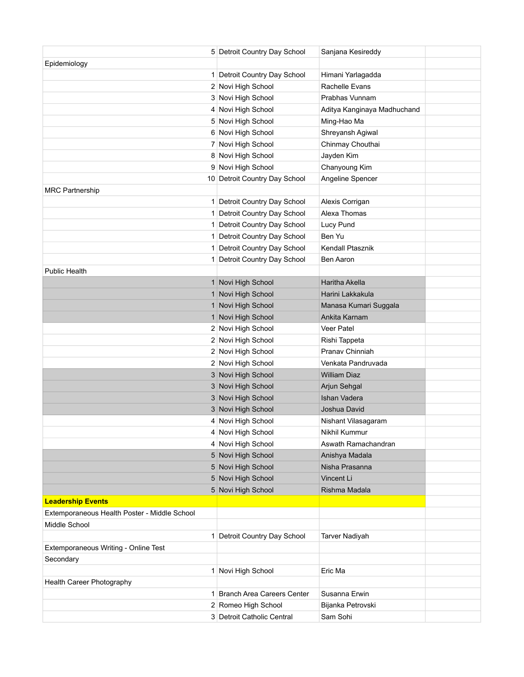|                                                               | 5 Detroit Country Day School  | Sanjana Kesireddy           |  |
|---------------------------------------------------------------|-------------------------------|-----------------------------|--|
| Epidemiology                                                  |                               |                             |  |
|                                                               | 1 Detroit Country Day School  | Himani Yarlagadda           |  |
|                                                               | 2 Novi High School            | Rachelle Evans              |  |
|                                                               | 3 Novi High School            | Prabhas Vunnam              |  |
|                                                               | 4 Novi High School            | Aditya Kanginaya Madhuchand |  |
|                                                               | 5 Novi High School            | Ming-Hao Ma                 |  |
|                                                               | 6 Novi High School            | Shreyansh Agiwal            |  |
|                                                               | 7 Novi High School            | Chinmay Chouthai            |  |
|                                                               | 8 Novi High School            | Jayden Kim                  |  |
|                                                               | 9 Novi High School            | Chanyoung Kim               |  |
|                                                               | 10 Detroit Country Day School | Angeline Spencer            |  |
| <b>MRC Partnership</b>                                        |                               |                             |  |
|                                                               | 1 Detroit Country Day School  | Alexis Corrigan             |  |
|                                                               | 1 Detroit Country Day School  | Alexa Thomas                |  |
|                                                               | 1 Detroit Country Day School  | Lucy Pund                   |  |
|                                                               | 1 Detroit Country Day School  | Ben Yu                      |  |
|                                                               | 1 Detroit Country Day School  | Kendall Ptasznik            |  |
|                                                               | 1 Detroit Country Day School  | Ben Aaron                   |  |
| <b>Public Health</b>                                          |                               |                             |  |
|                                                               | 1 Novi High School            | Haritha Akella              |  |
|                                                               | 1 Novi High School            | Harini Lakkakula            |  |
|                                                               | 1 Novi High School            | Manasa Kumari Suggala       |  |
|                                                               | 1 Novi High School            | Ankita Karnam               |  |
|                                                               | 2 Novi High School            | Veer Patel                  |  |
|                                                               | 2 Novi High School            | Rishi Tappeta               |  |
|                                                               | 2 Novi High School            | Pranav Chinniah             |  |
|                                                               | 2 Novi High School            | Venkata Pandruvada          |  |
|                                                               | 3 Novi High School            | <b>William Diaz</b>         |  |
|                                                               | 3 Novi High School            | Arjun Sehgal                |  |
|                                                               | 3 Novi High School            | Ishan Vadera                |  |
|                                                               | 3 Novi High School            | Joshua David                |  |
|                                                               | 4 Novi High School            | Nishant Vilasagaram         |  |
|                                                               | 4 Novi High School            | Nikhil Kummur               |  |
|                                                               | 4 Novi High School            | Aswath Ramachandran         |  |
|                                                               | 5 Novi High School            | Anishya Madala              |  |
|                                                               | 5 Novi High School            | Nisha Prasanna              |  |
|                                                               | 5 Novi High School            | Vincent Li                  |  |
|                                                               | 5 Novi High School            | Rishma Madala               |  |
| <b>Leadership Events</b>                                      |                               |                             |  |
| Extemporaneous Health Poster - Middle School<br>Middle School |                               |                             |  |
|                                                               |                               |                             |  |
|                                                               | 1 Detroit Country Day School  | <b>Tarver Nadiyah</b>       |  |
| Extemporaneous Writing - Online Test                          |                               |                             |  |
| Secondary                                                     | 1 Novi High School            | Eric Ma                     |  |
| Health Career Photography                                     |                               |                             |  |
|                                                               | 1 Branch Area Careers Center  | Susanna Erwin               |  |
|                                                               | 2 Romeo High School           | Bijanka Petrovski           |  |
|                                                               | 3 Detroit Catholic Central    | Sam Sohi                    |  |
|                                                               |                               |                             |  |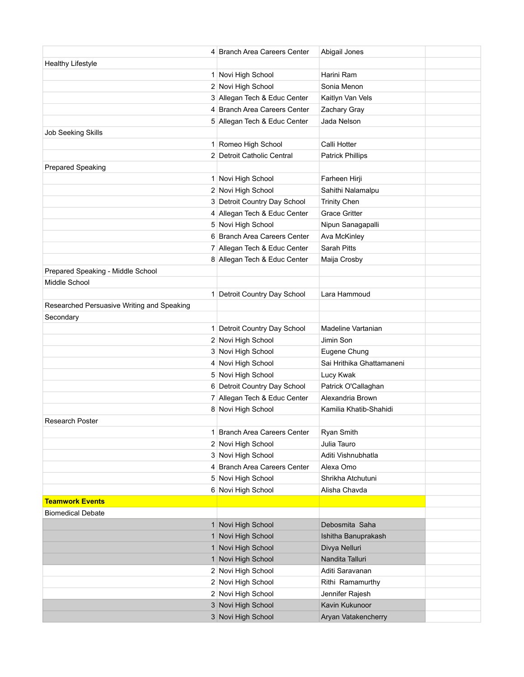|                                            | 4 Branch Area Careers Center | Abigail Jones             |  |
|--------------------------------------------|------------------------------|---------------------------|--|
| <b>Healthy Lifestyle</b>                   |                              |                           |  |
|                                            | 1 Novi High School           | Harini Ram                |  |
|                                            | 2 Novi High School           | Sonia Menon               |  |
|                                            | 3 Allegan Tech & Educ Center | Kaitlyn Van Vels          |  |
|                                            | 4 Branch Area Careers Center | Zachary Gray              |  |
|                                            | 5 Allegan Tech & Educ Center | Jada Nelson               |  |
| <b>Job Seeking Skills</b>                  |                              |                           |  |
|                                            | 1 Romeo High School          | Calli Hotter              |  |
|                                            | 2 Detroit Catholic Central   | <b>Patrick Phillips</b>   |  |
| <b>Prepared Speaking</b>                   |                              |                           |  |
|                                            | 1 Novi High School           | Farheen Hirji             |  |
|                                            | 2 Novi High School           | Sahithi Nalamalpu         |  |
|                                            | 3 Detroit Country Day School | <b>Trinity Chen</b>       |  |
|                                            | 4 Allegan Tech & Educ Center | <b>Grace Gritter</b>      |  |
|                                            | 5 Novi High School           | Nipun Sanagapalli         |  |
|                                            | 6 Branch Area Careers Center | Ava McKinley              |  |
|                                            | 7 Allegan Tech & Educ Center | Sarah Pitts               |  |
|                                            | 8 Allegan Tech & Educ Center | Maija Crosby              |  |
| Prepared Speaking - Middle School          |                              |                           |  |
| Middle School                              |                              |                           |  |
|                                            | 1 Detroit Country Day School | Lara Hammoud              |  |
| Researched Persuasive Writing and Speaking |                              |                           |  |
| Secondary                                  |                              |                           |  |
|                                            | 1 Detroit Country Day School | Madeline Vartanian        |  |
|                                            | 2 Novi High School           | Jimin Son                 |  |
|                                            | 3 Novi High School           | Eugene Chung              |  |
|                                            | 4 Novi High School           | Sai Hrithika Ghattamaneni |  |
|                                            | 5 Novi High School           | Lucy Kwak                 |  |
|                                            | 6 Detroit Country Day School | Patrick O'Callaghan       |  |
|                                            | 7 Allegan Tech & Educ Center | Alexandria Brown          |  |
|                                            | 8 Novi High School           | Kamilia Khatib-Shahidi    |  |
| <b>Research Poster</b>                     |                              |                           |  |
|                                            | 1 Branch Area Careers Center | Ryan Smith                |  |
|                                            | 2 Novi High School           | Julia Tauro               |  |
|                                            | 3 Novi High School           | Aditi Vishnubhatla        |  |
|                                            | 4 Branch Area Careers Center | Alexa Omo                 |  |
|                                            | 5 Novi High School           | Shrikha Atchutuni         |  |
|                                            | 6 Novi High School           | Alisha Chavda             |  |
| <b>Teamwork Events</b>                     |                              |                           |  |
| <b>Biomedical Debate</b>                   |                              |                           |  |
|                                            | 1 Novi High School           | Debosmita Saha            |  |
|                                            | 1 Novi High School           | Ishitha Banuprakash       |  |
|                                            | 1 Novi High School           | Divya Nelluri             |  |
|                                            | 1 Novi High School           | Nandita Talluri           |  |
|                                            | 2 Novi High School           | Aditi Saravanan           |  |
|                                            | 2 Novi High School           | Rithi Ramamurthy          |  |
|                                            | 2 Novi High School           | Jennifer Rajesh           |  |
|                                            | 3 Novi High School           | Kavin Kukunoor            |  |
|                                            | 3 Novi High School           | Aryan Vatakencherry       |  |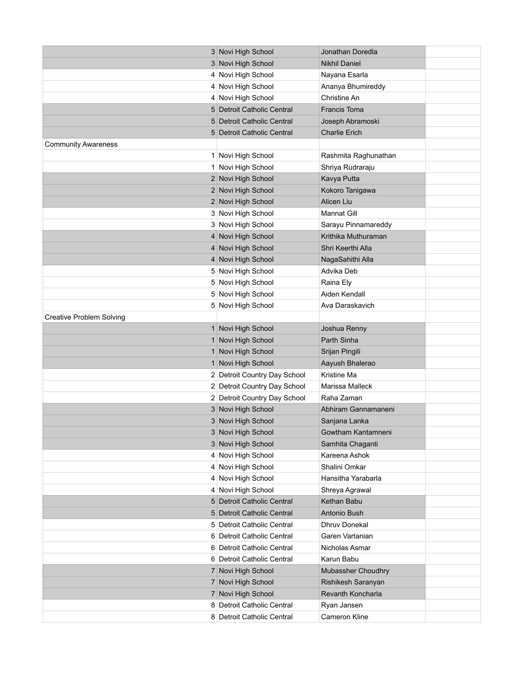|                                 | 3 Novi High School           | Jonathan Doredla                        |  |
|---------------------------------|------------------------------|-----------------------------------------|--|
|                                 | 3 Novi High School           | <b>Nikhil Daniel</b>                    |  |
|                                 | 4 Novi High School           | Nayana Esarla                           |  |
|                                 | 4 Novi High School           | Ananya Bhumireddy                       |  |
|                                 | 4 Novi High School           | Christine An                            |  |
|                                 | 5 Detroit Catholic Central   | <b>Francis Toma</b>                     |  |
|                                 | 5 Detroit Catholic Central   | Joseph Abramoski                        |  |
|                                 | 5 Detroit Catholic Central   | <b>Charlie Erich</b>                    |  |
| <b>Community Awareness</b>      |                              |                                         |  |
|                                 | 1 Novi High School           | Rashmita Raghunathan                    |  |
|                                 | 1 Novi High School           | Shriya Rudraraju                        |  |
|                                 | 2 Novi High School           | Kavya Putta                             |  |
|                                 | 2 Novi High School           | Kokoro Tanigawa                         |  |
|                                 | 2 Novi High School           | Alicen Liu                              |  |
|                                 | 3 Novi High School           | <b>Mannat Gill</b>                      |  |
|                                 | 3 Novi High School           | Sarayu Pinnamareddy                     |  |
|                                 | 4 Novi High School           | Krithika Muthuraman                     |  |
|                                 | 4 Novi High School           | Shri Keerthi Alla                       |  |
|                                 | 4 Novi High School           | NagaSahithi Alla                        |  |
|                                 | 5 Novi High School           | Advika Deb                              |  |
|                                 | 5 Novi High School           | Raina Ely                               |  |
|                                 | 5 Novi High School           | Aiden Kendall                           |  |
|                                 | 5 Novi High School           | Ava Daraskavich                         |  |
| <b>Creative Problem Solving</b> |                              |                                         |  |
|                                 | 1 Novi High School           | Joshua Renny                            |  |
|                                 | 1 Novi High School           | Parth Sinha                             |  |
|                                 | 1 Novi High School           | Srijan Pingili                          |  |
|                                 | 1 Novi High School           | Aayush Bhalerao                         |  |
|                                 | 2 Detroit Country Day School | Kristine Ma                             |  |
|                                 | 2 Detroit Country Day School | Marissa Malleck                         |  |
|                                 | 2 Detroit Country Day School | Raha Zaman                              |  |
|                                 | 3 Novi High School           | Abhiram Gannamaneni                     |  |
|                                 | 3 Novi High School           | Sanjana Lanka                           |  |
|                                 | 3 Novi High School           | Gowtham Kantamneni                      |  |
|                                 | 3 Novi High School           | Samhita Chaganti                        |  |
|                                 | 4 Novi High School           | Kareena Ashok                           |  |
|                                 | 4 Novi High School           | Shalini Omkar                           |  |
|                                 | 4 Novi High School           | Hansitha Yarabarla                      |  |
|                                 | 4 Novi High School           | Shreya Agrawal                          |  |
|                                 | 5 Detroit Catholic Central   | Kethan Babu                             |  |
|                                 | 5 Detroit Catholic Central   | Antonio Bush                            |  |
|                                 | 5 Detroit Catholic Central   | Dhruv Donekal                           |  |
|                                 | 6 Detroit Catholic Central   | Garen Vartanian                         |  |
|                                 | 6 Detroit Catholic Central   | Nicholas Asmar                          |  |
|                                 | 6 Detroit Catholic Central   | Karun Babu                              |  |
|                                 | 7 Novi High School           | Mubassher Choudhry                      |  |
|                                 | 7 Novi High School           | Rishikesh Saranyan<br>Revanth Koncharla |  |
|                                 | 7 Novi High School           |                                         |  |
|                                 | 8 Detroit Catholic Central   | Ryan Jansen                             |  |
|                                 | 8 Detroit Catholic Central   | Cameron Kline                           |  |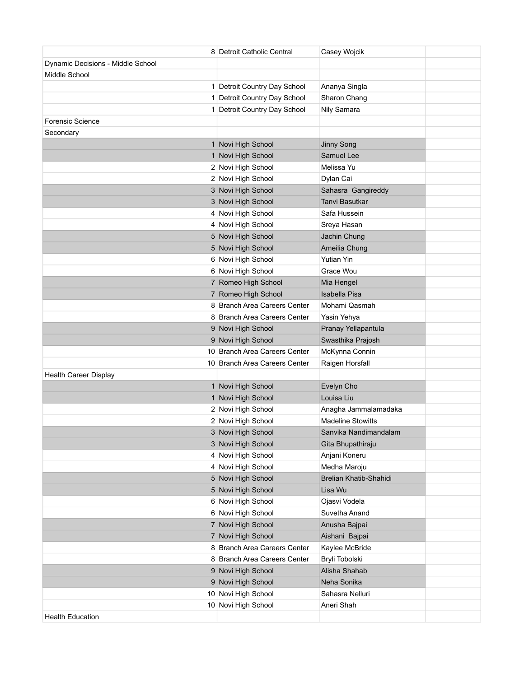|                                   | 8 Detroit Catholic Central    | Casey Wojcik             |  |
|-----------------------------------|-------------------------------|--------------------------|--|
| Dynamic Decisions - Middle School |                               |                          |  |
| Middle School                     |                               |                          |  |
|                                   | 1 Detroit Country Day School  | Ananya Singla            |  |
|                                   | 1 Detroit Country Day School  | Sharon Chang             |  |
|                                   | 1 Detroit Country Day School  | Nily Samara              |  |
| <b>Forensic Science</b>           |                               |                          |  |
| Secondary                         |                               |                          |  |
|                                   | 1 Novi High School            | Jinny Song               |  |
|                                   | 1 Novi High School            | Samuel Lee               |  |
|                                   | 2 Novi High School            | Melissa Yu               |  |
|                                   | 2 Novi High School            | Dylan Cai                |  |
|                                   | 3 Novi High School            | Sahasra Gangireddy       |  |
|                                   | 3 Novi High School            | Tanvi Basutkar           |  |
|                                   | 4 Novi High School            | Safa Hussein             |  |
|                                   | 4 Novi High School            | Sreya Hasan              |  |
|                                   | 5 Novi High School            | Jachin Chung             |  |
|                                   | 5 Novi High School            | Ameilia Chung            |  |
|                                   | 6 Novi High School            | <b>Yutian Yin</b>        |  |
|                                   | 6 Novi High School            | Grace Wou                |  |
|                                   | 7 Romeo High School           | Mia Hengel               |  |
|                                   | 7 Romeo High School           | <b>Isabella Pisa</b>     |  |
|                                   | 8 Branch Area Careers Center  | Mohami Qasmah            |  |
|                                   | 8 Branch Area Careers Center  | Yasin Yehya              |  |
|                                   | 9 Novi High School            | Pranay Yellapantula      |  |
|                                   |                               |                          |  |
|                                   | 9 Novi High School            | Swasthika Prajosh        |  |
|                                   | 10 Branch Area Careers Center | McKynna Connin           |  |
|                                   | 10 Branch Area Careers Center | Raigen Horsfall          |  |
| <b>Health Career Display</b>      |                               |                          |  |
|                                   | 1 Novi High School            | Evelyn Cho               |  |
|                                   | 1 Novi High School            | Louisa Liu               |  |
|                                   | 2 Novi High School            | Anagha Jammalamadaka     |  |
|                                   | 2 Novi High School            | <b>Madeline Stowitts</b> |  |
|                                   | 3 Novi High School            | Sanvika Nandimandalam    |  |
|                                   | 3 Novi High School            | Gita Bhupathiraju        |  |
|                                   | 4 Novi High School            | Anjani Koneru            |  |
|                                   | 4 Novi High School            | Medha Maroju             |  |
|                                   | 5 Novi High School            | Brelian Khatib-Shahidi   |  |
|                                   | 5 Novi High School            | Lisa Wu                  |  |
|                                   | 6 Novi High School            | Ojasvi Vodela            |  |
|                                   | 6 Novi High School            | Suvetha Anand            |  |
|                                   | 7 Novi High School            | Anusha Bajpai            |  |
|                                   | 7 Novi High School            | Aishani Bajpai           |  |
|                                   | 8 Branch Area Careers Center  | Kaylee McBride           |  |
|                                   | 8 Branch Area Careers Center  | Bryli Tobolski           |  |
|                                   | 9 Novi High School            | Alisha Shahab            |  |
|                                   | 9 Novi High School            | Neha Sonika              |  |
|                                   | 10 Novi High School           | Sahasra Nelluri          |  |
| <b>Health Education</b>           | 10 Novi High School           | Aneri Shah               |  |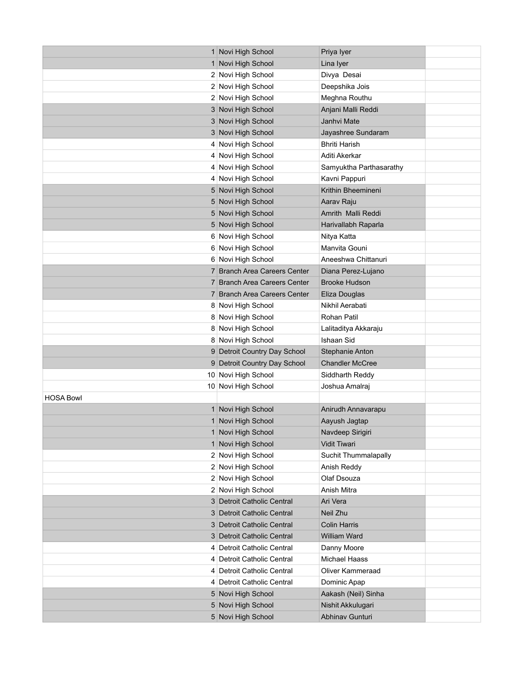|                  | 1 Novi High School           | Priya Iyer              |  |
|------------------|------------------------------|-------------------------|--|
|                  | 1 Novi High School           | Lina Iyer               |  |
|                  | 2 Novi High School           | Divya Desai             |  |
|                  | 2 Novi High School           | Deepshika Jois          |  |
|                  | 2 Novi High School           | Meghna Routhu           |  |
|                  | 3 Novi High School           | Anjani Malli Reddi      |  |
|                  | 3 Novi High School           | Janhvi Mate             |  |
|                  | 3 Novi High School           | Jayashree Sundaram      |  |
|                  | 4 Novi High School           | <b>Bhriti Harish</b>    |  |
|                  | 4 Novi High School           | Aditi Akerkar           |  |
|                  | 4 Novi High School           | Samyuktha Parthasarathy |  |
|                  | 4 Novi High School           | Kavni Pappuri           |  |
|                  | 5 Novi High School           | Krithin Bheemineni      |  |
|                  | 5 Novi High School           | Aarav Raju              |  |
|                  | 5 Novi High School           | Amrith Malli Reddi      |  |
|                  | 5 Novi High School           | Harivallabh Raparla     |  |
|                  | 6 Novi High School           | Nitya Katta             |  |
|                  | 6 Novi High School           | Manvita Gouni           |  |
|                  | 6 Novi High School           | Aneeshwa Chittanuri     |  |
|                  | 7 Branch Area Careers Center | Diana Perez-Lujano      |  |
|                  | 7 Branch Area Careers Center | <b>Brooke Hudson</b>    |  |
|                  | 7 Branch Area Careers Center | Eliza Douglas           |  |
|                  | 8 Novi High School           | Nikhil Aerabati         |  |
|                  | 8 Novi High School           | Rohan Patil             |  |
|                  | 8 Novi High School           | Lalitaditya Akkaraju    |  |
|                  | 8 Novi High School           | <b>Ishaan Sid</b>       |  |
|                  | 9 Detroit Country Day School | Stephanie Anton         |  |
|                  | 9 Detroit Country Day School | <b>Chandler McCree</b>  |  |
|                  | 10 Novi High School          | Siddharth Reddy         |  |
|                  | 10 Novi High School          | Joshua Amalraj          |  |
| <b>HOSA Bowl</b> |                              |                         |  |
|                  | 1 Novi High School           | Anirudh Annavarapu      |  |
|                  | 1 Novi High School           | Aayush Jagtap           |  |
|                  | 1 Novi High School           | Navdeep Sirigiri        |  |
|                  | 1 Novi High School           | Vidit Tiwari            |  |
|                  | 2 Novi High School           | Suchit Thummalapally    |  |
|                  | 2 Novi High School           | Anish Reddy             |  |
|                  | 2 Novi High School           | Olaf Dsouza             |  |
|                  | 2 Novi High School           | Anish Mitra             |  |
|                  | 3 Detroit Catholic Central   | Ari Vera                |  |
|                  | 3 Detroit Catholic Central   | Neil Zhu                |  |
|                  | 3 Detroit Catholic Central   | <b>Colin Harris</b>     |  |
|                  | 3 Detroit Catholic Central   | William Ward            |  |
|                  | 4 Detroit Catholic Central   | Danny Moore             |  |
|                  | 4 Detroit Catholic Central   | <b>Michael Haass</b>    |  |
|                  | 4 Detroit Catholic Central   | <b>Oliver Kammeraad</b> |  |
|                  | 4 Detroit Catholic Central   | Dominic Apap            |  |
|                  | 5 Novi High School           | Aakash (Neil) Sinha     |  |
|                  | 5 Novi High School           | Nishit Akkulugari       |  |
|                  | 5 Novi High School           | Abhinav Gunturi         |  |
|                  |                              |                         |  |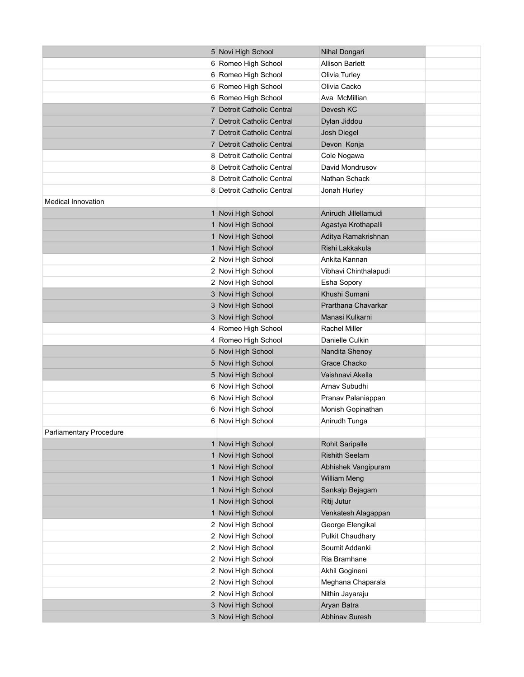|                           | 5 Novi High School         | Nihal Dongari           |  |
|---------------------------|----------------------------|-------------------------|--|
|                           | 6 Romeo High School        | <b>Allison Barlett</b>  |  |
|                           | 6 Romeo High School        | Olivia Turley           |  |
|                           | 6 Romeo High School        | Olivia Cacko            |  |
|                           | 6 Romeo High School        | Ava McMillian           |  |
|                           | 7 Detroit Catholic Central | Devesh KC               |  |
|                           | 7 Detroit Catholic Central | Dylan Jiddou            |  |
|                           | 7 Detroit Catholic Central | Josh Diegel             |  |
|                           | 7 Detroit Catholic Central | Devon Konja             |  |
|                           | 8 Detroit Catholic Central | Cole Nogawa             |  |
|                           | 8 Detroit Catholic Central | David Mondrusov         |  |
|                           | 8 Detroit Catholic Central | Nathan Schack           |  |
|                           | 8 Detroit Catholic Central | Jonah Hurley            |  |
| <b>Medical Innovation</b> |                            |                         |  |
|                           | 1 Novi High School         | Anirudh Jillellamudi    |  |
|                           | 1 Novi High School         | Agastya Krothapalli     |  |
|                           | 1 Novi High School         | Aditya Ramakrishnan     |  |
|                           | 1 Novi High School         | Rishi Lakkakula         |  |
|                           | 2 Novi High School         | Ankita Kannan           |  |
|                           | 2 Novi High School         | Vibhavi Chinthalapudi   |  |
|                           | 2 Novi High School         | Esha Sopory             |  |
|                           | 3 Novi High School         | Khushi Sumani           |  |
|                           | 3 Novi High School         | Prarthana Chavarkar     |  |
|                           | 3 Novi High School         | Manasi Kulkarni         |  |
|                           | 4 Romeo High School        | Rachel Miller           |  |
|                           | 4 Romeo High School        | Danielle Culkin         |  |
|                           | 5 Novi High School         | Nandita Shenoy          |  |
|                           | 5 Novi High School         | <b>Grace Chacko</b>     |  |
|                           | 5 Novi High School         | Vaishnavi Akella        |  |
|                           | 6 Novi High School         | Arnav Subudhi           |  |
|                           | 6 Novi High School         | Pranav Palaniappan      |  |
|                           | 6 Novi High School         | Monish Gopinathan       |  |
|                           | 6 Novi High School         | Anirudh Tunga           |  |
| Parliamentary Procedure   |                            |                         |  |
|                           | 1 Novi High School         | <b>Rohit Saripalle</b>  |  |
|                           | 1 Novi High School         | <b>Rishith Seelam</b>   |  |
|                           | 1 Novi High School         | Abhishek Vangipuram     |  |
|                           | 1 Novi High School         | <b>William Meng</b>     |  |
|                           | 1 Novi High School         | Sankalp Bejagam         |  |
|                           | 1 Novi High School         | Ritij Jutur             |  |
|                           | 1 Novi High School         | Venkatesh Alagappan     |  |
|                           | 2 Novi High School         | George Elengikal        |  |
|                           | 2 Novi High School         | <b>Pulkit Chaudhary</b> |  |
|                           | 2 Novi High School         | Soumit Addanki          |  |
|                           | 2 Novi High School         | Ria Bramhane            |  |
|                           | 2 Novi High School         | Akhil Gogineni          |  |
|                           | 2 Novi High School         | Meghana Chaparala       |  |
|                           | 2 Novi High School         | Nithin Jayaraju         |  |
|                           | 3 Novi High School         | Aryan Batra             |  |
|                           | 3 Novi High School         | Abhinav Suresh          |  |